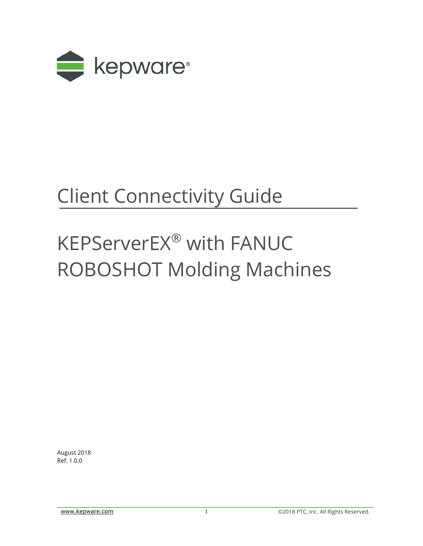

## Client Connectivity Guide

# KEPServerEX® with FANUC ROBOSHOT Molding Machines

August 2018 Ref. 1.0.0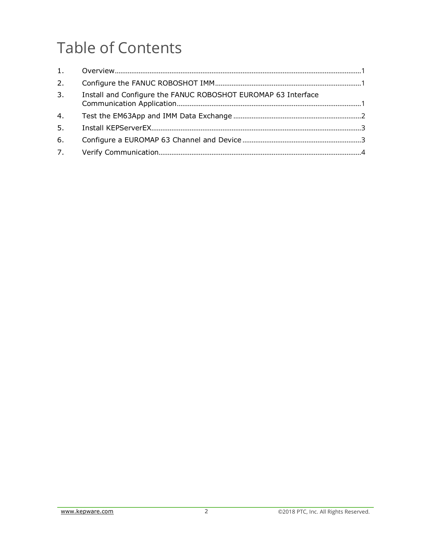### **Table of Contents**

| 2.             |                                                               |  |
|----------------|---------------------------------------------------------------|--|
| 3.             | Install and Configure the FANUC ROBOSHOT EUROMAP 63 Interface |  |
| 4.             |                                                               |  |
| 5 <sub>1</sub> |                                                               |  |
| 6.             |                                                               |  |
| 7.             |                                                               |  |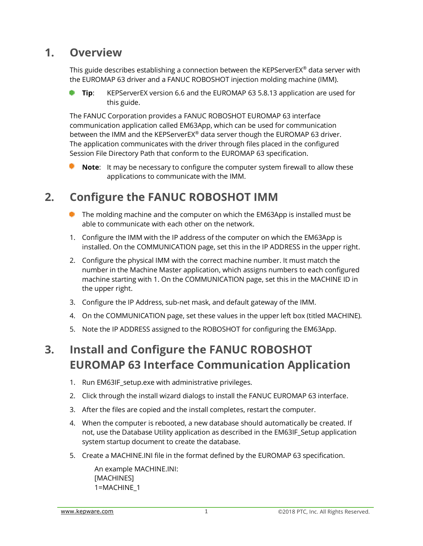#### <span id="page-2-0"></span>**1. Overview**

This guide describes establishing a connection between the KEPServerEX® data server with the EUROMAP 63 driver and a FANUC ROBOSHOT injection molding machine (IMM).

**Tip**: KEPServerEX version 6.6 and the EUROMAP 63 5.8.13 application are used for this guide.

The FANUC Corporation provides a FANUC ROBOSHOT EUROMAP 63 interface communication application called EM63App, which can be used for communication between the IMM and the KEPServerEX® data server though the EUROMAP 63 driver. The application communicates with the driver through files placed in the configured Session File Directory Path that conform to the EUROMAP 63 specification.

**Note**: It may be necessary to configure the computer system firewall to allow these applications to communicate with the IMM.

#### <span id="page-2-1"></span>**2. Configure the FANUC ROBOSHOT IMM**

- **The molding machine and the computer on which the EM63App is installed must be** able to communicate with each other on the network.
- 1. Configure the IMM with the IP address of the computer on which the EM63App is installed. On the COMMUNICATION page, set this in the IP ADDRESS in the upper right.
- 2. Configure the physical IMM with the correct machine number. It must match the number in the Machine Master application, which assigns numbers to each configured machine starting with 1. On the COMMUNICATION page, set this in the MACHINE ID in the upper right.
- 3. Configure the IP Address, sub-net mask, and default gateway of the IMM.
- 4. On the COMMUNICATION page, set these values in the upper left box (titled MACHINE).
- 5. Note the IP ADDRESS assigned to the ROBOSHOT for configuring the EM63App.

#### <span id="page-2-2"></span>**3. Install and Configure the FANUC ROBOSHOT EUROMAP 63 Interface Communication Application**

- 1. Run EM63IF\_setup.exe with administrative privileges.
- 2. Click through the install wizard dialogs to install the FANUC EUROMAP 63 interface.
- 3. After the files are copied and the install completes, restart the computer.
- 4. When the computer is rebooted, a new database should automatically be created. If not, use the Database Utility application as described in the EM63IF\_Setup application system startup document to create the database.
- 5. Create a MACHINE.INI file in the format defined by the EUROMAP 63 specification.

An example MACHINE.INI: [MACHINES] 1=MACHINE\_1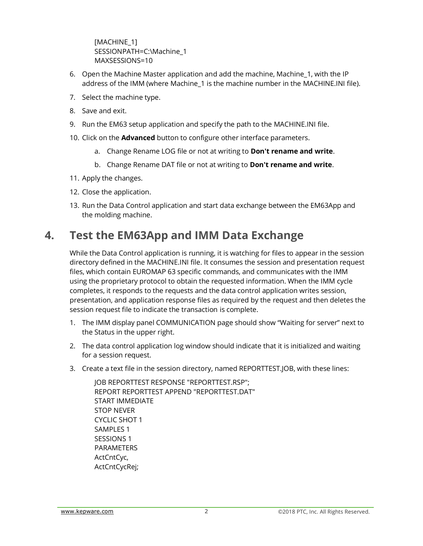[MACHINE\_1] SESSIONPATH=C:\Machine\_1 MAXSESSIONS=10

- 6. Open the Machine Master application and add the machine, Machine\_1, with the IP address of the IMM (where Machine\_1 is the machine number in the MACHINE.INI file).
- 7. Select the machine type.
- 8. Save and exit.
- 9. Run the EM63 setup application and specify the path to the MACHINE.INI file.
- 10. Click on the **Advanced** button to configure other interface parameters.
	- a. Change Rename LOG file or not at writing to **Don't rename and write**.
	- b. Change Rename DAT file or not at writing to **Don't rename and write**.
- 11. Apply the changes.
- 12. Close the application.
- 13. Run the Data Control application and start data exchange between the EM63App and the molding machine.

#### <span id="page-3-0"></span>**4. Test the EM63App and IMM Data Exchange**

While the Data Control application is running, it is watching for files to appear in the session directory defined in the MACHINE.INI file. It consumes the session and presentation request files, which contain EUROMAP 63 specific commands, and communicates with the IMM using the proprietary protocol to obtain the requested information. When the IMM cycle completes, it responds to the requests and the data control application writes session, presentation, and application response files as required by the request and then deletes the session request file to indicate the transaction is complete.

- 1. The IMM display panel COMMUNICATION page should show "Waiting for server" next to the Status in the upper right.
- 2. The data control application log window should indicate that it is initialized and waiting for a session request.
- 3. Create a text file in the session directory, named REPORTTEST.JOB, with these lines:

JOB REPORTTEST RESPONSE "REPORTTEST.RSP"; REPORT REPORTTEST APPEND "REPORTTEST.DAT" START IMMEDIATE STOP NEVER CYCLIC SHOT 1 SAMPLES 1 SESSIONS 1 PARAMETERS ActCntCyc, ActCntCycRej;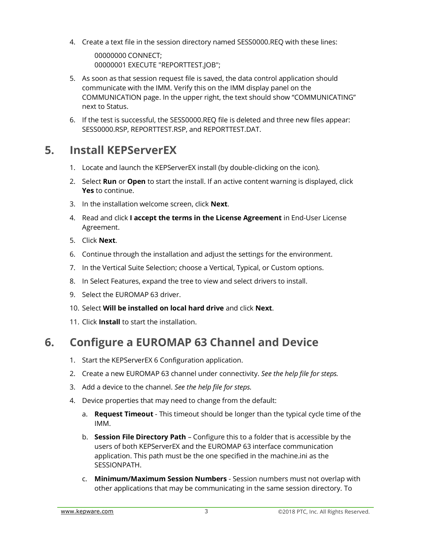4. Create a text file in the session directory named SESS0000.REQ with these lines:

00000000 CONNECT; 00000001 EXECUTE "REPORTTEST.JOB";

- 5. As soon as that session request file is saved, the data control application should communicate with the IMM. Verify this on the IMM display panel on the COMMUNICATION page. In the upper right, the text should show "COMMUNICATING" next to Status.
- 6. If the test is successful, the SESS0000.REQ file is deleted and three new files appear: SESS0000.RSP, REPORTTEST.RSP, and REPORTTEST.DAT.

#### <span id="page-4-0"></span>**5. Install KEPServerEX**

- 1. Locate and launch the KEPServerEX install (by double-clicking on the icon).
- 2. Select **Run** or **Open** to start the install. If an active content warning is displayed, click **Yes** to continue.
- 3. In the installation welcome screen, click **Next**.
- 4. Read and click **I accept the terms in the License Agreement** in End-User License Agreement.
- 5. Click **Next**.
- 6. Continue through the installation and adjust the settings for the environment.
- 7. In the Vertical Suite Selection; choose a Vertical, Typical, or Custom options.
- 8. In Select Features, expand the tree to view and select drivers to install.
- 9. Select the EUROMAP 63 driver.
- 10. Select **Will be installed on local hard drive** and click **Next**.
- 11. Click **Install** to start the installation.

#### <span id="page-4-1"></span>**6. Configure a EUROMAP 63 Channel and Device**

- 1. Start the KEPServerEX 6 Configuration application.
- 2. Create a new EUROMAP 63 channel under connectivity. *See the help file for steps.*
- 3. Add a device to the channel. *See the help file for steps.*
- 4. Device properties that may need to change from the default:
	- a. **Request Timeout** This timeout should be longer than the typical cycle time of the IMM.
	- b. **Session File Directory Path** Configure this to a folder that is accessible by the users of both KEPServerEX and the EUROMAP 63 interface communication application. This path must be the one specified in the machine.ini as the SESSIONPATH.
	- c. **Minimum/Maximum Session Numbers** Session numbers must not overlap with other applications that may be communicating in the same session directory. To